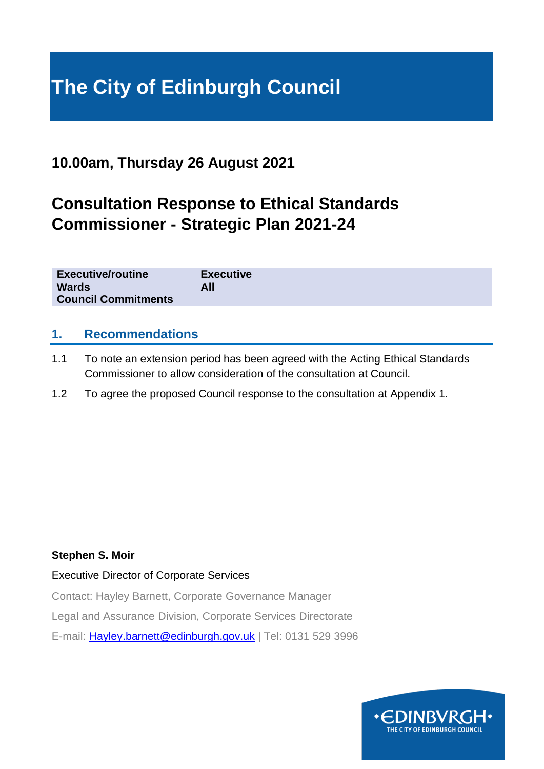# **The City of Edinburgh Council**

### **10.00am, Thursday 26 August 2021**

# **Consultation Response to Ethical Standards Commissioner - Strategic Plan 2021-24**

| <b>Executive/routine</b>   | <b>Executive</b> |
|----------------------------|------------------|
| <b>Wards</b>               | All              |
| <b>Council Commitments</b> |                  |

#### **1. Recommendations**

- 1.1 To note an extension period has been agreed with the Acting Ethical Standards Commissioner to allow consideration of the consultation at Council.
- 1.2 To agree the proposed Council response to the consultation at Appendix 1.

#### **Stephen S. Moir**

Executive Director of Corporate Services

Contact: Hayley Barnett, Corporate Governance Manager

Legal and Assurance Division, Corporate Services Directorate

E-mail: [Hayley.barnett@edinburgh.gov.uk](mailto:Hayley.barnett@edinburgh.gov.uk) | Tel: 0131 529 3996

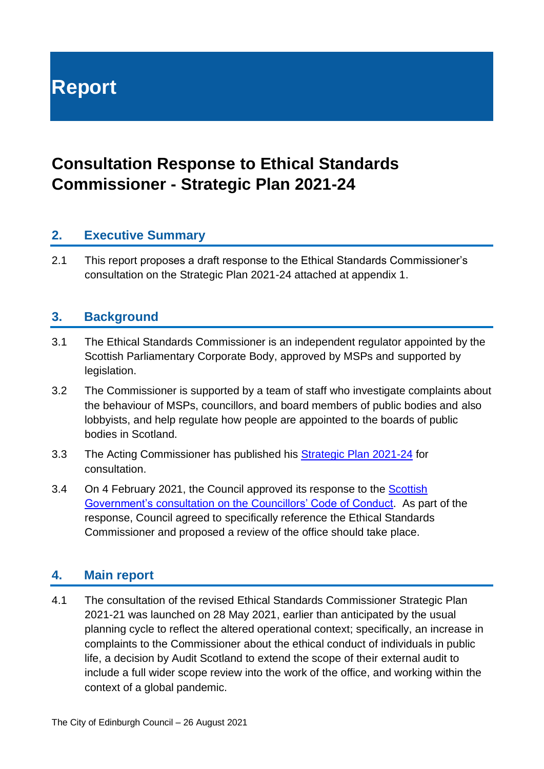**Report**

## **Consultation Response to Ethical Standards Commissioner - Strategic Plan 2021-24**

#### **2. Executive Summary**

2.1 This report proposes a draft response to the Ethical Standards Commissioner's consultation on the Strategic Plan 2021-24 attached at appendix 1.

#### **3. Background**

- 3.1 The Ethical Standards Commissioner is an independent regulator appointed by the Scottish Parliamentary Corporate Body, approved by MSPs and supported by legislation.
- 3.2 The Commissioner is supported by a team of staff who investigate complaints about the behaviour of MSPs, councillors, and board members of public bodies and also lobbyists, and help regulate how people are appointed to the boards of public bodies in Scotland.
- 3.3 The Acting Commissioner has published his [Strategic Plan 2021-24](https://www.ethicalstandards.org.uk/sites/default/files/publications/FINAL%20CONSULTATION%20DRAFT%20ESC%20Strategic%20Plan%202020-24_0.pdf) for consultation.
- 3.4 On 4 February 2021, the Council approved its response to the [Scottish](https://www.gov.scot/publications/councillors-code-conduct-consultation-2020/pages/1/)  Government's consultation [on the Councillors' Code of Conduct.](https://www.gov.scot/publications/councillors-code-conduct-consultation-2020/pages/1/) As part of the response, Council agreed to specifically reference the Ethical Standards Commissioner and proposed a review of the office should take place.

#### **4. Main report**

4.1 The consultation of the revised Ethical Standards Commissioner Strategic Plan 2021-21 was launched on 28 May 2021, earlier than anticipated by the usual planning cycle to reflect the altered operational context; specifically, an increase in complaints to the Commissioner about the ethical conduct of individuals in public life, a decision by Audit Scotland to extend the scope of their external audit to include a full wider scope review into the work of the office, and working within the context of a global pandemic.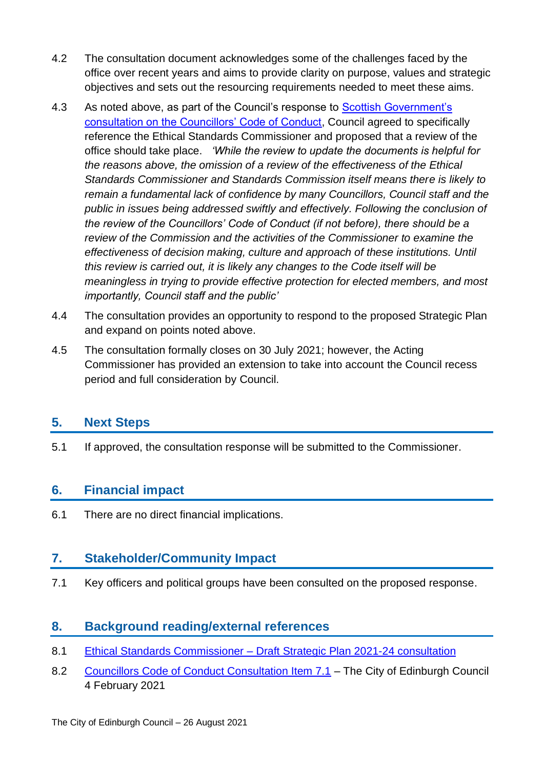- 4.2 The consultation document acknowledges some of the challenges faced by the office over recent years and aims to provide clarity on purpose, values and strategic objectives and sets out the resourcing requirements needed to meet these aims.
- 4.3 As noted above, as part of the Council's response to Scottish Government's [consultation on the Councillors' Code of Conduct,](https://www.gov.scot/publications/councillors-code-conduct-consultation-2020/pages/1/) Council agreed to specifically reference the Ethical Standards Commissioner and proposed that a review of the office should take place. *'While the review to update the documents is helpful for the reasons above, the omission of a review of the effectiveness of the Ethical Standards Commissioner and Standards Commission itself means there is likely to remain a fundamental lack of confidence by many Councillors, Council staff and the public in issues being addressed swiftly and effectively. Following the conclusion of the review of the Councillors' Code of Conduct (if not before), there should be a review of the Commission and the activities of the Commissioner to examine the effectiveness of decision making, culture and approach of these institutions. Until this review is carried out, it is likely any changes to the Code itself will be meaningless in trying to provide effective protection for elected members, and most importantly, Council staff and the public'*
- 4.4 The consultation provides an opportunity to respond to the proposed Strategic Plan and expand on points noted above.
- 4.5 The consultation formally closes on 30 July 2021; however, the Acting Commissioner has provided an extension to take into account the Council recess period and full consideration by Council.

#### **5. Next Steps**

5.1 If approved, the consultation response will be submitted to the Commissioner.

#### **6. Financial impact**

6.1 There are no direct financial implications.

#### **7. Stakeholder/Community Impact**

7.1 Key officers and political groups have been consulted on the proposed response.

#### **8. Background reading/external references**

- 8.1 [Ethical Standards Commissioner –](https://www.ethicalstandards.org.uk/publication/draft-strategic-plan-2021-24-consultation-version) Draft Strategic Plan 2021-24 consultation
- 8.2 [Councillors Code of Conduct Consultation Item 7.1](https://democracy.edinburgh.gov.uk/ieListDocuments.aspx?CId=150&MId=5595&Ver=4) The City of Edinburgh Council 4 February 2021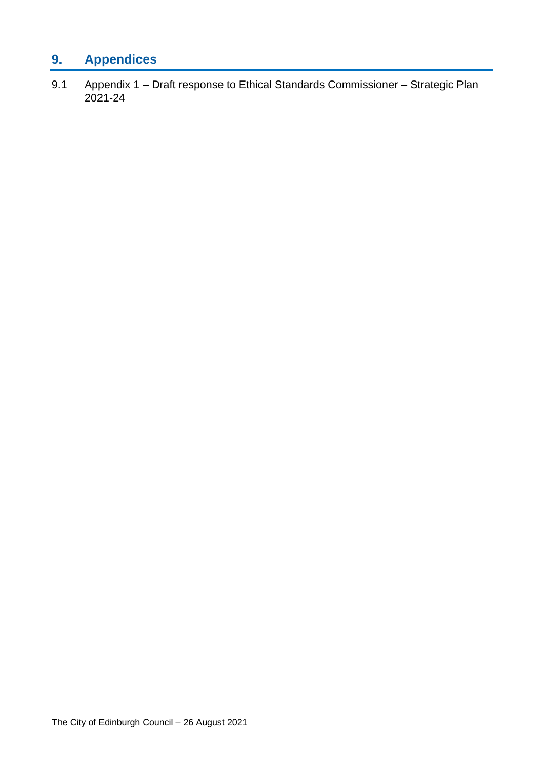### **9. Appendices**

9.1 Appendix 1 – Draft response to Ethical Standards Commissioner – Strategic Plan 2021-24